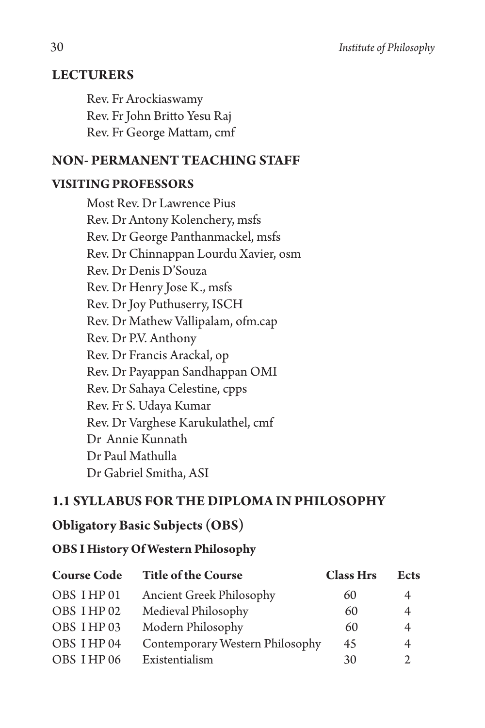## **LECTURERS**

Rev. Fr Arockiaswamy Rev. Fr John Britto Yesu Raj Rev. Fr George Mattam, cmf

## **NON- PERMANENT TEACHING STAFF**

#### **VISITING PROFESSORS**

Most Rev. Dr Lawrence Pius Rev. Dr Antony Kolenchery, msfs Rev. Dr George Panthanmackel, msfs Rev. Dr Chinnappan Lourdu Xavier, osm Rev. Dr Denis D'Souza Rev. Dr Henry Jose K., msfs Rev. Dr Joy Puthuserry, ISCH Rev. Dr Mathew Vallipalam, ofm.cap Rev. Dr P.V. Anthony Rev. Dr Francis Arackal, op Rev. Dr Payappan Sandhappan OMI Rev. Dr Sahaya Celestine, cpps Rev. Fr S. Udaya Kumar Rev. Dr Varghese Karukulathel, cmf Dr Annie Kunnath Dr Paul Mathulla Dr Gabriel Smitha, ASI

## **1.1 SYLLABUS FOR THE DIPLOMA IN PHILOSOPHY**

## **Obligatory Basic Subjects (OBS)**

#### **OBS I History Of Western Philosophy**

| <b>Course Code</b> | <b>Title of the Course</b>      | <b>Class Hrs</b> | <b>Ects</b>    |
|--------------------|---------------------------------|------------------|----------------|
| OBS IHP01          | <b>Ancient Greek Philosophy</b> | 60               | 4              |
| OBS IHP 02         | Medieval Philosophy             | 60               | $\overline{4}$ |
| OBS IHP03          | Modern Philosophy               | 60               | 4              |
| OBS IHP 04         | Contemporary Western Philosophy | 45               | 4              |
| OBS IHP 06         | Existentialism                  | 30               | $\mathfrak{D}$ |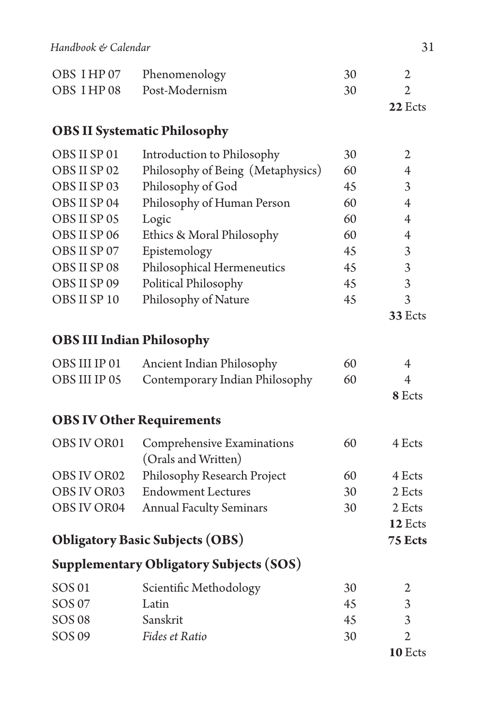|            | OBS I HP 07 Phenomenology | 30 |  |
|------------|---------------------------|----|--|
| OBS IHP 08 | Post-Modernism            | 30 |  |

**22** Ects

## **OBS II Systematic Philosophy**

| OBS II SP 01 | Introduction to Philosophy        | 30 | 2       |
|--------------|-----------------------------------|----|---------|
| OBS II SP 02 | Philosophy of Being (Metaphysics) | 60 |         |
| OBS II SP 03 | Philosophy of God                 | 45 | 3       |
| OBS II SP 04 | Philosophy of Human Person        | 60 | 4       |
| OBS II SP 05 | Logic                             | 60 |         |
| OBS II SP 06 | Ethics & Moral Philosophy         | 60 | 4       |
| OBS II SP 07 | Epistemology                      | 45 | 3       |
| OBS II SP 08 | Philosophical Hermeneutics        | 45 | 3       |
| OBS II SP 09 | Political Philosophy              | 45 | 3       |
| OBS II SP 10 | Philosophy of Nature              | 45 | 3       |
|              |                                   |    | 33 Ects |
|              |                                   |    |         |

# **OBS III Indian Philosophy**

| OBS III IP 01 | Ancient Indian Philosophy                    | 60 | 4      |
|---------------|----------------------------------------------|----|--------|
|               | OBS III IP 05 Contemporary Indian Philosophy | 60 |        |
|               |                                              |    | 8 Ects |

# **OBS IV Other Requirements**

| OBS IV OR01 | Comprehensive Examinations          | 60 | 4 Ects |
|-------------|-------------------------------------|----|--------|
|             | (Orals and Written)                 |    |        |
| OBS IV OR02 | Philosophy Research Project         | 60 | 4 Ects |
| OBS IV OR03 | <b>Endowment Lectures</b>           | 30 | 2 Ects |
|             | OBS IV OR04 Annual Faculty Seminars | 30 | 2 Ects |

#### **12** Ects **Obligatory Basic Subjects (OBS) 75 Ects**

# **Supplementary Obligatory Subjects (SOS)**

| SOS 01 | Scientific Methodology | 30 |         |
|--------|------------------------|----|---------|
| SOS 07 | Latin                  | 45 |         |
| SOS 08 | Sanskrit               | 45 | 2       |
| SOS 09 | Fides et Ratio         | 30 |         |
|        |                        |    | 10 Ects |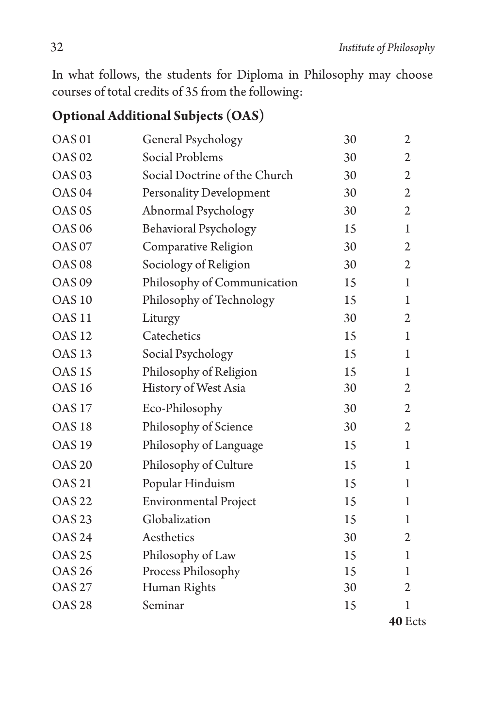In what follows, the students for Diploma in Philosophy may choose courses of total credits of 35 from the following:

# **Optional Additional Subjects (OAS)**

| <b>OAS01</b>      | General Psychology            | 30 | $\overline{2}$ |
|-------------------|-------------------------------|----|----------------|
| <b>OAS 02</b>     | Social Problems               | 30 | $\overline{2}$ |
| OAS <sub>03</sub> | Social Doctrine of the Church | 30 | 2              |
| OAS <sub>04</sub> | Personality Development       | 30 | $\mathfrak{2}$ |
| <b>OAS 05</b>     | Abnormal Psychology           | 30 | $\mathfrak{2}$ |
| <b>OAS 06</b>     | <b>Behavioral Psychology</b>  | 15 | $\mathbf{1}$   |
| <b>OAS 07</b>     | Comparative Religion          | 30 | $\overline{2}$ |
| <b>OAS 08</b>     | Sociology of Religion         | 30 | $\mathfrak{2}$ |
| OAS <sub>09</sub> | Philosophy of Communication   | 15 | 1              |
| <b>OAS 10</b>     | Philosophy of Technology      | 15 | 1              |
| OAS <sub>11</sub> | Liturgy                       | 30 | $\mathfrak{2}$ |
| <b>OAS 12</b>     | Catechetics                   | 15 | 1              |
| OAS <sub>13</sub> | Social Psychology             | 15 | 1              |
| <b>OAS 15</b>     | Philosophy of Religion        | 15 | 1              |
| <b>OAS 16</b>     | History of West Asia          | 30 | $\mathfrak{2}$ |
| <b>OAS 17</b>     | Eco-Philosophy                | 30 | $\mathfrak{2}$ |
| OAS <sub>18</sub> | Philosophy of Science         | 30 | $\mathfrak{2}$ |
| <b>OAS 19</b>     | Philosophy of Language        | 15 | 1              |
| <b>OAS 20</b>     | Philosophy of Culture         | 15 | 1              |
| <b>OAS 21</b>     | Popular Hinduism              | 15 | 1              |
| <b>OAS 22</b>     | <b>Environmental Project</b>  | 15 | 1              |
| <b>OAS 23</b>     | Globalization                 | 15 | 1              |
| <b>OAS 24</b>     | Aesthetics                    | 30 | 2              |
| <b>OAS 25</b>     | Philosophy of Law             | 15 | 1              |
| <b>OAS 26</b>     | Process Philosophy            | 15 | 1              |
| <b>OAS 27</b>     | Human Rights                  | 30 | $\overline{2}$ |
| <b>OAS 28</b>     | Seminar                       | 15 | 1              |
|                   |                               |    | 40 Ects        |